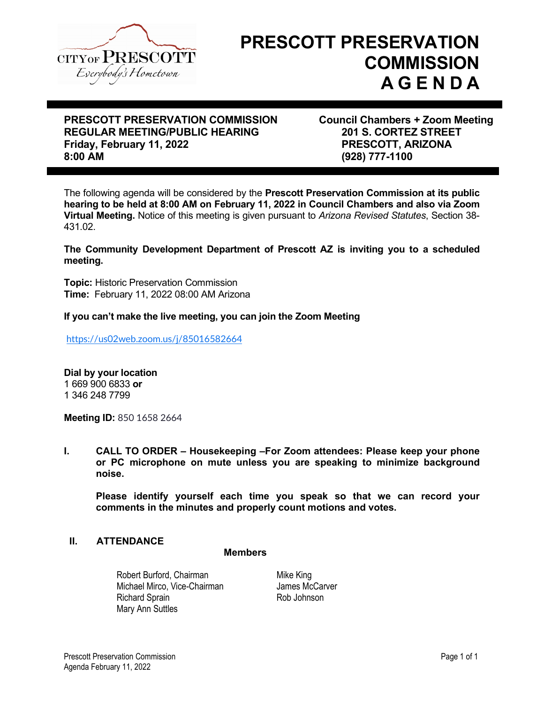

# **PRESCOTT PRESERVATION COMMISSION A G E N D A**

# **PRESCOTT PRESERVATION COMMISSION Council Chambers + Zoom Meeting** REGULAR MEETING/PUBLIC HEARING<br>
Friday, February 11, 2022<br> **PRESCOTT, ARIZONA Friday, February 11, 2022**<br>8:00 AM

**8:00 AM (928) 777-1100**

The following agenda will be considered by the **Prescott Preservation Commission at its public hearing to be held at 8:00 AM on February 11, 2022 in Council Chambers and also via Zoom Virtual Meeting.** Notice of this meeting is given pursuant to *Arizona Revised Statutes*, Section 38- 431.02.

### **The Community Development Department of Prescott AZ is inviting you to a scheduled meeting.**

**Topic:** Historic Preservation Commission **Time:** February 11, 2022 08:00 AM Arizona

### **If you can't make the live meeting, you can join the Zoom Meeting**

<https://us02web.zoom.us/j/85016582664>

**Dial by your location**  1 669 900 6833 **or** 1 346 248 7799

**Meeting ID:** 850 1658 2664

**I. CALL TO ORDER – Housekeeping –For Zoom attendees: Please keep your phone or PC microphone on mute unless you are speaking to minimize background noise.**

**Please identify yourself each time you speak so that we can record your comments in the minutes and properly count motions and votes.**

### **II. ATTENDANCE**

### **Members**

Robert Burford, Chairman Michael Mirco, Vice-Chairman Richard Sprain **Rob Johnson** Mary Ann Suttles

Mike King James McCarver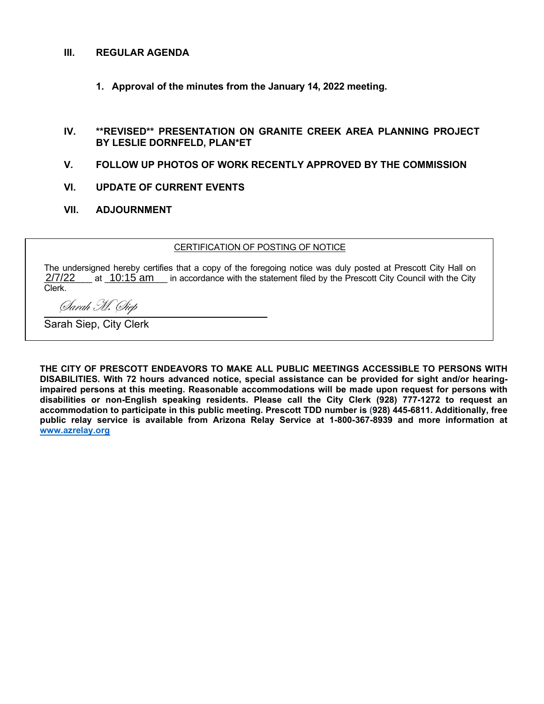### **III. REGULAR AGENDA**

**1. Approval of the minutes from the January 14, 2022 meeting.**

### **IV. \*\*REVISED\*\* PRESENTATION ON GRANITE CREEK AREA PLANNING PROJECT BY LESLIE DORNFELD, PLAN\*ET**

- **V. FOLLOW UP PHOTOS OF WORK RECENTLY APPROVED BY THE COMMISSION**
- **VI. UPDATE OF CURRENT EVENTS**
- **VII. ADJOURNMENT**

### CERTIFICATION OF POSTING OF NOTICE

The undersigned hereby certifies that a copy of the foregoing notice was duly posted at Prescott City Hall on  $2/7/22$  at  $10:15$  am in accordance with the statement filed by the Prescott City Council with the City Clerk.

Sarah M. Siep

Sarah Siep, City Clerk

**THE CITY OF PRESCOTT ENDEAVORS TO MAKE ALL PUBLIC MEETINGS ACCESSIBLE TO PERSONS WITH DISABILITIES. With 72 hours advanced notice, special assistance can be provided for sight and/or hearingimpaired persons at this meeting. Reasonable accommodations will be made upon request for persons with disabilities or non-English speaking residents. Please call the City Clerk (928) 777-1272 to request an accommodation to participate in this public meeting. Prescott TDD number is (928) 445-6811. Additionally, free public relay service is available from Arizona Relay Service at 1-800-367-8939 and more information at [www.azrelay.org](http://www.azrelay.org/)**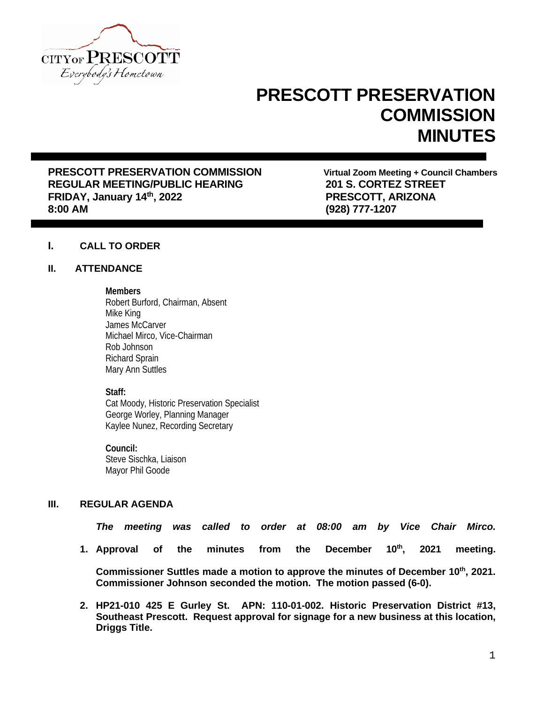

# **PRESCOTT PRESERVATION COMMISSION MINUTES**

**PRESCOTT PRESERVATION COMMISSION Virtual Zoom Meeting + Council Chambers** REGULAR MEETING/PUBLIC HEARING **201 S. CORTEZ STREE**<br>FRIDAY, January 14<sup>th</sup>, 2022 **1998 12: PRESCOTT, ARIZONA FRIDAY, January 14th, 2022 8:00 AM (928) 777-1207**

# **I. CALL TO ORDER**

### **II. ATTENDANCE**

#### **Members**

Robert Burford, Chairman, Absent Mike King James McCarver Michael Mirco, Vice-Chairman Rob Johnson Richard Sprain Mary Ann Suttles

### **Staff:**

Cat Moody, Historic Preservation Specialist George Worley, Planning Manager Kaylee Nunez, Recording Secretary

**Council:** Steve Sischka, Liaison Mayor Phil Goode

# **III. REGULAR AGENDA**

*The meeting was called to order at 08:00 am by Vice Chair Mirco.*

1. Approval of the minutes from the December 10<sup>th</sup>, 2021 meeting.

**Commissioner Suttles made a motion to approve the minutes of December 10th, 2021. Commissioner Johnson seconded the motion. The motion passed (6-0).**

**2. HP21-010 425 E Gurley St. APN: 110-01-002. Historic Preservation District #13, Southeast Prescott. Request approval for signage for a new business at this location, Driggs Title.**